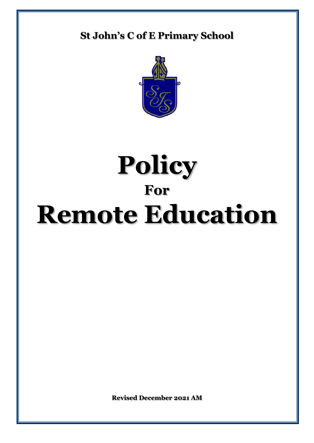# **St John's C of E Primary School**



# **Policy For Remote Education**

**Revised December 2021 AM**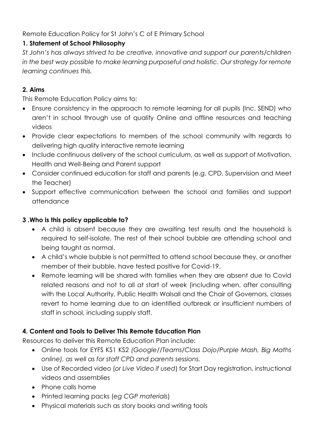Remote Education Policy for St John's C of E Primary School

# **1. Statement of School Philosophy**

*St John's has always strived to be creative, innovative and support our parents/children in the best way possible to make learning purposeful and holistic. Our strategy for remote learning continues this.* 

# **2. Aims**

This Remote Education Policy aims to:

- Ensure consistency in the approach to remote learning for all pupils (Inc. SEND) who aren't in school through use of quality Online and offline resources and teaching videos
- Provide clear expectations to members of the school community with regards to delivering high quality interactive remote learning
- Include continuous delivery of the school curriculum, as well as support of Motivation, Health and Well-Being and Parent support
- Consider continued education for staff and parents (e.g. CPD, Supervision and Meet the Teacher)
- Support effective communication between the school and families and support attendance

### **3 .Who is this policy applicable to?**

- A child is absent because they are awaiting test results and the household is required to self-isolate. The rest of their school bubble are attending school and being taught as normal.
- A child's whole bubble is not permitted to attend school because they, or another member of their bubble, have tested positive for Covid-19.
- Remote learning will be shared with families when they are absent due to Covid related reasons and not to all at start of week (including when, after consulting with the Local Authority, Public Health Walsall and the Chair of Governors, classes revert to home learning due to an identified outbreak or insufficient numbers of staff in school, including supply staff.

# **4. Content and Tools to Deliver This Remote Education Plan**

Resources to deliver this Remote Education Plan include:

- Online tools for EYFS KS1 KS2 *(Google//Teams/Class Dojo/Purple Mash, Big Maths online), as well as for staff CPD and parents sessions.*
- Use of Recorded video (*or Live Video if used*) for Start Day registration, instructional videos and assemblies
- Phone calls home
- Printed learning packs (*eg CGP materials*)
- Physical materials such as story books and writing tools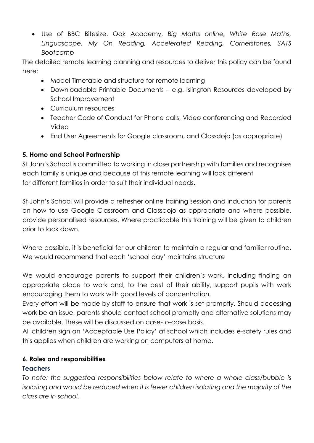Use of BBC Bitesize, Oak Academy, *Big Maths online, White Rose Maths, Linguascope, My On Reading, Accelerated Reading, Cornerstones, SATS Bootcamp*

The detailed remote learning planning and resources to deliver this policy can be found here:

- Model Timetable and structure for remote learning
- Downloadable Printable Documents e.g. Islington Resources developed by School Improvement
- **Curriculum resources**
- Teacher Code of Conduct for Phone calls, Video conferencing and Recorded Video
- End User Agreements for Google classroom, and Classdojo (as appropriate)

# **5. Home and School Partnership**

St John's School is committed to working in close partnership with families and recognises each family is unique and because of this remote learning will look different for different families in order to suit their individual needs.

St John's School will provide a refresher online training session and induction for parents on how to use Google Classroom and Classdojo as appropriate and where possible, provide personalised resources. Where practicable this training will be given to children prior to lock down.

Where possible, it is beneficial for our children to maintain a regular and familiar routine. We would recommend that each 'school day' maintains structure

We would encourage parents to support their children's work, including finding an appropriate place to work and, to the best of their ability, support pupils with work encouraging them to work with good levels of concentration.

Every effort will be made by staff to ensure that work is set promptly. Should accessing work be an issue, parents should contact school promptly and alternative solutions may be available. These will be discussed on case-to-case basis.

All children sign an 'Acceptable Use Policy' at school which includes e-safety rules and this applies when children are working on computers at home.

# **6. Roles and responsibilities**

# **Teachers**

*To note: the suggested responsibilities below relate to where a whole class/bubble is isolating and would be reduced when it is fewer children isolating and the majority of the class are in school.*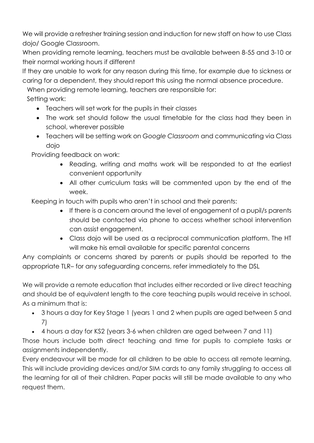We will provide a refresher training session and induction for new staff on how to use Class dojo/ Google Classroom.

When providing remote learning, teachers must be available between 8-55 and 3-10 or their normal working hours if different

If they are unable to work for any reason during this time, for example due to sickness or caring for a dependent, they should report this using the normal absence procedure.

When providing remote learning, teachers are responsible for:

Setting work:

- Teachers will set work for the pupils in their classes
- The work set should follow the usual timetable for the class had they been in school, wherever possible
- Teachers will be setting work on *Google Classroom* and communicating via Class dojo

Providing feedback on work:

- Reading, writing and maths work will be responded to at the earliest convenient opportunity
- All other curriculum tasks will be commented upon by the end of the week.

Keeping in touch with pupils who aren't in school and their parents:

- If there is a concern around the level of engagement of a pupil/s parents should be contacted via phone to access whether school intervention can assist engagement.
- Class dojo will be used as a reciprocal communication platform. The HT will make his email available for specific parental concerns

Any complaints or concerns shared by parents or pupils should be reported to the appropriate TLR– for any safeguarding concerns, refer immediately to the DSL

We will provide a remote education that includes either recorded or live direct teaching and should be of equivalent length to the core teaching pupils would receive in school. As a minimum that is:

- 3 hours a day for Key Stage 1 (years 1 and 2 when pupils are aged between 5 and 7)
- 4 hours a day for KS2 (years 3-6 when children are aged between 7 and 11)

Those hours include both direct teaching and time for pupils to complete tasks or assignments independently.

Every endeavour will be made for all children to be able to access all remote learning. This will include providing devices and/or SIM cards to any family struggling to access all the learning for all of their children. Paper packs will still be made available to any who request them.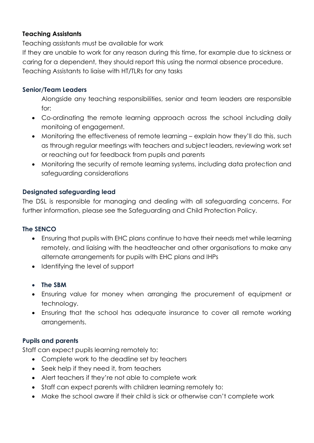#### **Teaching Assistants**

Teaching assistants must be available for work

If they are unable to work for any reason during this time, for example due to sickness or caring for a dependent, they should report this using the normal absence procedure. Teaching Assistants to liaise with HT/TLRs for any tasks

#### **Senior/Team Leaders**

Alongside any teaching responsibilities, senior and team leaders are responsible for:

- Co-ordinating the remote learning approach across the school including daily monitoing of engagement.
- Monitoring the effectiveness of remote learning explain how they'll do this, such as through regular meetings with teachers and subject leaders, reviewing work set or reaching out for feedback from pupils and parents
- Monitoring the security of remote learning systems, including data protection and safeguarding considerations

#### **Designated safeguarding lead**

The DSL is responsible for managing and dealing with all safeguarding concerns. For further information, please see the Safeguarding and Child Protection Policy.

#### **The SENCO**

- Ensuring that pupils with EHC plans continue to have their needs met while learning remotely, and liaising with the headteacher and other organisations to make any alternate arrangements for pupils with EHC plans and IHPs
- Identifying the level of support

#### **The SBM**

- Ensuring value for money when arranging the procurement of equipment or technology.
- Ensuring that the school has adequate insurance to cover all remote working arrangements.

#### **Pupils and parents**

Staff can expect pupils learning remotely to:

- Complete work to the deadline set by teachers
- Seek help if they need it, from teachers
- Alert teachers if they're not able to complete work
- Staff can expect parents with children learning remotely to:
- Make the school aware if their child is sick or otherwise can't complete work